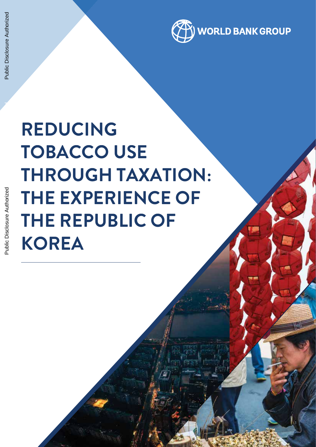

# **REDUCING TOBACCO USE THROUGH TAXATION: THE EXPERIENCE OF THE REPUBLIC OF KOREA**

Public Disclosure Authorized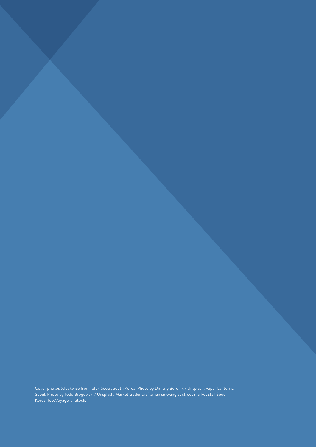Cover photos (clockwise from left): Seoul, South Korea. Photo by Dmitriy Berdnik / Unsplash. Paper Lanterns, Seoul. Photo by Todd Brogowski / Unsplash. Market trader craftsman smoking at street market stall Seoul Korea. fotoVoyager / iStock.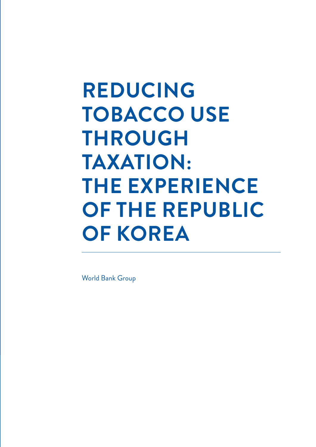# **REDUCING TOBACCO USE THROUGH TAXATION: THE EXPERIENCE OF THE REPUBLIC OF KOREA**

World Bank Group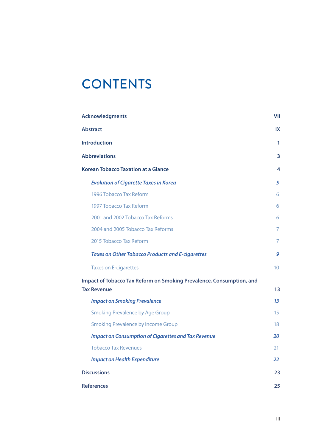# **CONTENTS**

| <b>Acknowledgments</b>                                                                     | VII             |
|--------------------------------------------------------------------------------------------|-----------------|
| <b>Abstract</b>                                                                            | IX              |
| <b>Introduction</b>                                                                        | 1               |
| <b>Abbreviations</b>                                                                       | 3               |
| <b>Korean Tobacco Taxation at a Glance</b>                                                 | 4               |
| <b>Evolution of Cigarette Taxes in Korea</b>                                               | 5               |
| 1996 Tobacco Tax Reform                                                                    | 6               |
| 1997 Tobacco Tax Reform                                                                    | 6               |
| 2001 and 2002 Tobacco Tax Reforms                                                          | 6               |
| 2004 and 2005 Tobacco Tax Reforms                                                          | 7               |
| 2015 Tobacco Tax Reform                                                                    | 7               |
| <b>Taxes on Other Tobacco Products and E-cigarettes</b>                                    | 9               |
| <b>Taxes on E-cigarettes</b>                                                               | 10 <sup>1</sup> |
| Impact of Tobacco Tax Reform on Smoking Prevalence, Consumption, and<br><b>Tax Revenue</b> | 13              |
| <b>Impact on Smoking Prevalence</b>                                                        | 1 <sub>3</sub>  |
| <b>Smoking Prevalence by Age Group</b>                                                     | 15              |
| <b>Smoking Prevalence by Income Group</b>                                                  | 18              |
| <b>Impact on Consumption of Cigarettes and Tax Revenue</b>                                 | 20              |
| <b>Tobacco Tax Revenues</b>                                                                | 21              |
| <b>Impact on Health Expenditure</b>                                                        | 22              |
| <b>Discussions</b>                                                                         | 23              |
| <b>References</b>                                                                          | 25              |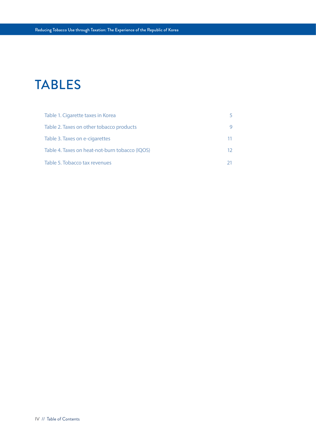# TABLES

| Table 1. Cigarette taxes in Korea              |    |
|------------------------------------------------|----|
| Table 2. Taxes on other tobacco products       |    |
| Table 3. Taxes on e-cigarettes                 |    |
| Table 4. Taxes on heat-not-burn tobacco (IQOS) | 12 |
| Table 5. Tobacco tax revenues                  |    |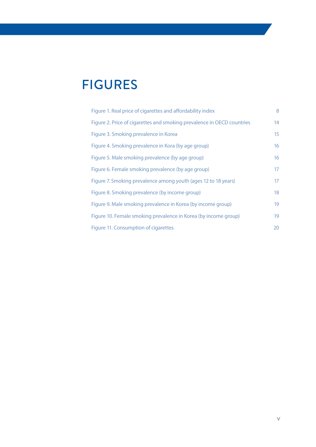# FIGURES

| Figure 1. Real price of cigarettes and affordability index             | 8  |
|------------------------------------------------------------------------|----|
| Figure 2. Price of cigarettes and smoking prevalence in OECD countries | 14 |
| Figure 3. Smoking prevalence in Korea                                  | 15 |
| Figure 4. Smoking prevalence in Kora (by age group)                    | 16 |
| Figure 5. Male smoking prevalence (by age group)                       | 16 |
| Figure 6. Female smoking prevalence (by age group)                     | 17 |
| Figure 7. Smoking prevalence among youth (ages 12 to 18 years)         | 17 |
| Figure 8. Smoking prevalence (by income group)                         | 18 |
| Figure 9. Male smoking prevalence in Korea (by income group)           | 19 |
| Figure 10. Female smoking prevalence in Korea (by income group)        | 19 |
| Figure 11. Consumption of cigarettes                                   | 20 |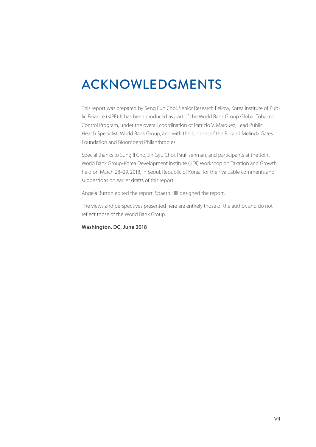# ACKNOWLEDGMENTS

This report was prepared by Seng Eun Choi, Senior Research Fellow, Korea Institute of Public Finance (KIPF). It has been produced as part of the World Bank Group Global Tobacco Control Program, under the overall coordination of Patricio V. Marquez, Lead Public Health Specialist, World Bank Group, and with the support of the Bill and Melinda Gates Foundation and Bloomberg Philanthropies.

Special thanks to Sung Il Cho, Jin Gyu Choi, Paul Isenman, and participants at the Joint World Bank Group-Korea Development Institute (KDI) Workshop on Taxation and Growth held on March 28–29, 2018, in Seoul, Republic of Korea, for their valuable comments and suggestions on earlier drafts of this report.

Angela Burton edited the report. Spaeth Hill designed the report.

The views and perspectives presented here are entirely those of the author, and do not reflect those of the World Bank Group.

# **Washington, DC, June 2018**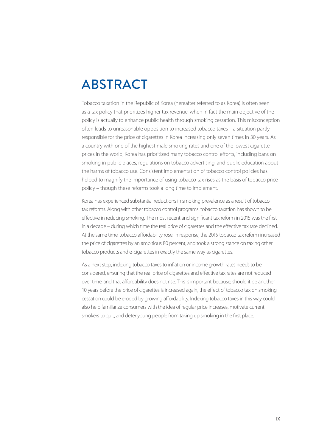# ABSTRACT

Tobacco taxation in the Republic of Korea (hereafter referred to as Korea) is often seen as a tax policy that prioritizes higher tax revenue, when in fact the main objective of the policy is actually to enhance public health through smoking cessation. This misconception often leads to unreasonable opposition to increased tobacco taxes – a situation partly responsible for the price of cigarettes in Korea increasing only seven times in 30 years. As a country with one of the highest male smoking rates and one of the lowest cigarette prices in the world, Korea has prioritized many tobacco control efforts, including bans on smoking in public places, regulations on tobacco advertising, and public education about the harms of tobacco use. Consistent implementation of tobacco control policies has helped to magnify the importance of using tobacco tax rises as the basis of tobacco price policy – though these reforms took a long time to implement.

Korea has experienced substantial reductions in smoking prevalence as a result of tobacco tax reforms. Along with other tobacco control programs, tobacco taxation has shown to be effective in reducing smoking. The most recent and significant tax reform in 2015 was the first in a decade – during which time the real price of cigarettes and the effective tax rate declined. At the same time, tobacco affordability rose. In response, the 2015 tobacco tax reform increased the price of cigarettes by an ambitious 80 percent, and took a strong stance on taxing other tobacco products and e-cigarettes in exactly the same way as cigarettes.

As a next step, indexing tobacco taxes to inflation or income growth rates needs to be considered, ensuring that the real price of cigarettes and effective tax rates are not reduced over time, and that affordability does not rise. This is important because, should it be another 10 years before the price of cigarettes is increased again, the effect of tobacco tax on smoking cessation could be eroded by growing affordability. Indexing tobacco taxes in this way could also help familiarize consumers with the idea of regular price increases, motivate current smokers to quit, and deter young people from taking up smoking in the first place.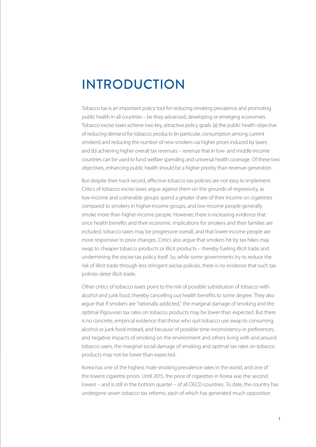# INTRODUCTION

Tobacco tax is an important policy tool for reducing smoking prevalence and promoting public health in all countries – be they advanced, developing or emerging economies. Tobacco excise taxes achieve two key, attractive policy goals: (a) the public health objective of reducing demand for tobacco products (in particular, consumption among current smokers) and reducing the number of new smokers via higher prices induced by taxes; and (b) achieving higher overall tax revenues – revenue that in low- and middle-income countries can be used to fund welfare spending and universal health coverage. Of these two objectives, enhancing public health should be a higher priority than revenue-generation.

But despite their track record, effective tobacco tax policies are not easy to implement. Critics of tobacco excise taxes argue against them on the grounds of regressivity, as low-income and vulnerable groups spend a greater share of their income on cigarettes compared to smokers in higher-income groups, and low-income people generally smoke more than higher-income people. However, there is increasing evidence that once health benefits and their economic implications for smokers and their families are included, tobacco taxes may be progressive overall, and that lower-income people are more responsive to price changes. Critics also argue that smokers hit by tax hikes may swap to cheaper tobacco products or illicit products – thereby fueling illicit trade and undermining the excise tax policy itself. So, while some governments try to reduce the risk of illicit trade through less stringent excise policies, there is no evidence that such tax policies deter illicit trade.

Other critics of tobacco taxes point to the risk of possible substitution of tobacco with alcohol and junk food, thereby cancelling out health benefits to some degree. They also argue that if smokers are "rationally addicted," the marginal damage of smoking and the optimal Pigouvian tax rates on tobacco products may be lower than expected. But there is no concrete, empirical evidence that those who quit tobacco use swap to consuming alcohol or junk food instead, and because of possible time-inconsistency in preferences, and negative impacts of smoking on the environment and others living with and around tobacco users, the marginal social damage of smoking and optimal tax rates on tobacco products may not be lower than expected.

Korea has one of the highest male smoking prevalence rates in the world, and one of the lowest cigarette prices. Until 2015, the price of cigarettes in Korea was the second lowest – and is still in the bottom quarter – of all OECD countries. To date, the country has undergone seven tobacco tax reforms, each of which has generated much opposition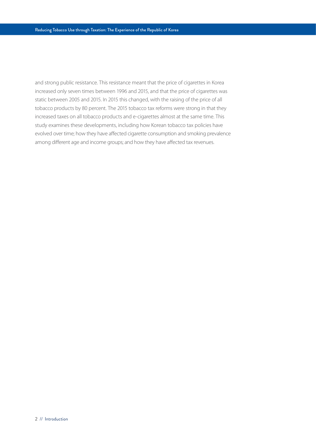and strong public resistance. This resistance meant that the price of cigarettes in Korea increased only seven times between 1996 and 2015, and that the price of cigarettes was static between 2005 and 2015. In 2015 this changed, with the raising of the price of all tobacco products by 80 percent. The 2015 tobacco tax reforms were strong in that they increased taxes on all tobacco products and e-cigarettes almost at the same time. This study examines these developments, including how Korean tobacco tax policies have evolved over time; how they have affected cigarette consumption and smoking prevalence among different age and income groups; and how they have affected tax revenues.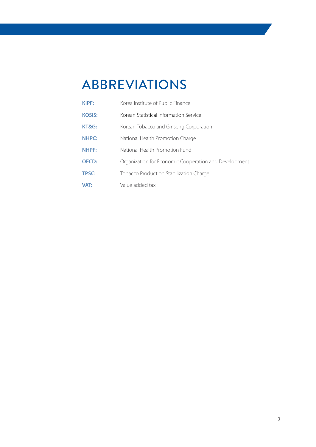# ABBREVIATIONS

| <b>KIPF:</b>  | Korea Institute of Public Finance                     |
|---------------|-------------------------------------------------------|
| <b>KOSIS:</b> | Korean Statistical Information Service                |
| KT&G:         | Korean Tobacco and Ginseng Corporation                |
| <b>NHPC:</b>  | National Health Promotion Charge                      |
| <b>NHPF:</b>  | National Health Promotion Fund                        |
| <b>OECD:</b>  | Organization for Economic Cooperation and Development |
| <b>TPSC:</b>  | Tobacco Production Stabilization Charge               |
| <b>VAT:</b>   | Value added tax                                       |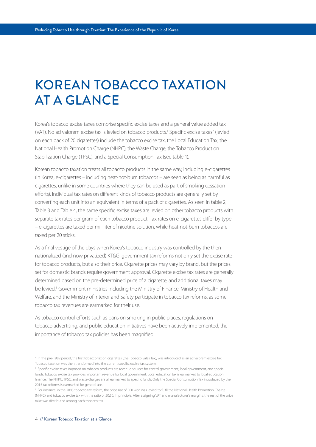# KOREAN TOBACCO TAXATION AT A GLANCE

Korea's tobacco excise taxes comprise specific excise taxes and a general value added tax (VAT). No ad valorem excise tax is levied on tobacco products.<sup>1</sup> Specific excise taxes<sup>2</sup> (levied on each pack of 20 cigarettes) include the tobacco excise tax, the Local Education Tax, the National Health Promotion Charge (NHPC), the Waste Charge, the Tobacco Production Stabilization Charge (TPSC), and a Special Consumption Tax (see table 1).

Korean tobacco taxation treats all tobacco products in the same way, including e-cigarettes (in Korea, e-cigarettes – including heat-not-burn tobaccos – are seen as being as harmful as cigarettes, unlike in some countries where they can be used as part of smoking cessation efforts). Individual tax rates on different kinds of tobacco products are generally set by converting each unit into an equivalent in terms of a pack of cigarettes. As seen in table 2, Table 3 and Table 4, the same specific excise taxes are levied on other tobacco products with separate tax rates per gram of each tobacco product. Tax rates on e-cigarettes differ by type – e-cigarettes are taxed per milliliter of nicotine solution, while heat-not-burn tobaccos are taxed per 20 sticks.

As a final vestige of the days when Korea's tobacco industry was controlled by the then nationalized (and now privatized) KT&G, government tax reforms not only set the excise rate for tobacco products, but also their price. Cigarette prices may vary by brand, but the prices set for domestic brands require government approval. Cigarette excise tax rates are generally determined based on the pre-determined price of a cigarette, and additional taxes may be levied.<sup>3</sup> Government ministries including the Ministry of Finance, Ministry of Health and Welfare, and the Ministry of Interior and Safety participate in tobacco tax reforms, as some tobacco tax revenues are earmarked for their use.

As tobacco control efforts such as bans on smoking in public places, regulations on tobacco advertising, and public education initiatives have been actively implemented, the importance of tobacco tax policies has been magnified.

<sup>&</sup>lt;sup>1</sup> In the pre-1989 period, the first tobacco tax on cigarettes (the Tobacco Sales Tax), was introduced as an ad valorem excise tax. Tobacco taxation was then transformed into the current specific excise tax system.

<sup>2</sup> Specific excise taxes imposed on tobacco products are revenue sources for central government, local government, and special funds. Tobacco excise tax provides important revenue for local government. Local education tax is earmarked to local education finance. The NHPC, TPSC, and waste charges are all earmarked to specific funds. Only the Special Consumption Tax introduced by the 2015 tax reforms is earmarked for general use.

<sup>&</sup>lt;sup>3</sup> For instance, in the 2005 tobacco tax reform, the price rise of 500 won was levied to fulfil the National Health Promotion Charge (NHPC) and tobacco excise tax with the ratio of 50:50, in principle. After assigning VAT and manufacturer's margins, the rest of the price raise was distributed among each tobacco tax.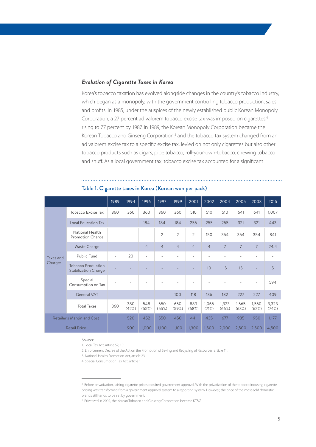# *Evolution of Cigarette Taxes in Korea*

Korea's tobacco taxation has evolved alongside changes in the country's tobacco industry, which began as a monopoly, with the government controlling tobacco production, sales and profits. In 1985, under the auspices of the newly established public Korean Monopoly Corporation, a 27 percent ad valorem tobacco excise tax was imposed on cigarettes,<sup>4</sup> rising to 77 percent by 1987. In 1989, the Korean Monopoly Corporation became the Korean Tobacco and Ginseng Corporation,<sup>5</sup> and the tobacco tax system changed from an ad valorem excise tax to a specific excise tax, levied on not only cigarettes but also other tobacco products such as cigars, pipe tobacco, roll-your-own-tobacco, chewing tobacco and snuff. As a local government tax, tobacco excise tax accounted for a significant

|                            |                                                          | 1989 | 1994         | 1996           | 1997           | 1999           | 2001           | 2002           | 2004           | 2005           | 2008            | 2015           |
|----------------------------|----------------------------------------------------------|------|--------------|----------------|----------------|----------------|----------------|----------------|----------------|----------------|-----------------|----------------|
|                            | Tobacco Excise Tax                                       | 360  | 360          | 360            | 360            | 360            | 510            | 510            | 510            | 641            | 641             | 1,007          |
|                            | <b>Local Education Tax</b>                               |      |              | 184            | 184            | 184            | 255            | 255            | 255            | 321            | 321             | 443            |
|                            | National Health<br>Promotion Charge                      |      |              |                | $\overline{2}$ | $\overline{2}$ | $\overline{2}$ | 150            | 354            | 354            | 354             | 841            |
|                            | <b>Waste Charge</b>                                      |      |              | $\overline{4}$ | $\overline{4}$ | $\overline{4}$ | $\overline{4}$ | $\overline{4}$ | $\overline{7}$ | $\overline{7}$ | $7\overline{ }$ | 24.4           |
| Taxes and                  | Public Fund                                              | ٠    | 20           |                |                |                | ä,             |                | ÷              | ٠              |                 |                |
| Charges                    | <b>Tobacco Production</b><br><b>Stabilization Charge</b> |      |              |                |                |                |                | 10             | 15             | 15             |                 | 5              |
|                            | Special<br>Consumption on Tax                            |      |              |                |                |                |                |                |                |                |                 | 594            |
|                            | <b>General VAT</b>                                       |      |              |                |                | 100            | 118            | 136            | 182            | 227            | 227             | 409            |
|                            | <b>Total Taxes</b>                                       | 360  | 380<br>(42%) | 548<br>(55%)   | 550<br>(55%)   | 650<br>(59%)   | 889<br>(68%)   | 1,065<br>(71%) | 1,323<br>(66%) | 1,565<br>(63%) | 1,550<br>(62%)  | 3,323<br>(74%) |
| Retailer's Margin and Cost |                                                          |      | 520          | 452            | 550            | 450            | 441            | 435            | 677            | 935            | 950             | 1,177          |
| <b>Retail Price</b>        |                                                          |      | 900          | 1,000          | 1,100          | 1,100          | 1,300          | 1,500          | 2,000          | 2,500          | 2,500           | 4,500          |

# Table 1. Cigarette taxes in Korea (Korean won per pack)

#### *Sources:*

2. Enforcement Decree of the Act on the Promotion of Saving and Recycling of Resources, article 11.

3. National Health Promotion Act, article 23.

<sup>1.</sup> Local Tax Act, article 52, 151.

<sup>4.</sup> Special Consumption Tax Act, article 1.

<sup>4</sup> Before privatization, raising cigarette prices required government approval. With the privatization of the tobacco industry, cigarette pricing was transformed from a government approval system to a reporting system. However, the price of the most-sold domestic brands still tends to be set by government.

<sup>&</sup>lt;sup>5</sup> Privatized in 2002, the Korean Tobacco and Ginseng Corporation became KT&G.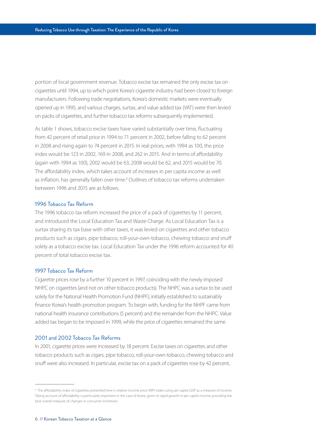portion of local government revenue. Tobacco excise tax remained the only excise tax on cigarettes until 1994, up to which point Korea's cigarette industry had been closed to foreign manufacturers. Following trade negotiations, Korea's domestic markets were eventually opened up in 1995, and various charges, surtax, and value added tax (VAT) were then levied on packs of cigarettes, and further tobacco tax reforms subsequently implemented.

As table 1 shows, tobacco excise taxes have varied substantially over time, fluctuating from 42 percent of retail price in 1994 to 71 percent in 2002, before falling to 62 percent in 2008 and rising again to 74 percent in 2015. In real prices, with 1994 as 100, the price index would be 123 in 2002, 169 in 2008, and 262 in 2015. And in terms of affordability (again with 1994 as 100), 2002 would be 63, 2008 would be 62, and 2015 would be 70. The affordability index, which takes account of increases in per capita income as well as inflation, has generally fallen over time.<sup>6</sup> Outlines of tobacco tax reforms undertaken between 1996 and 2015 are as follows.

### 1996 Tobacco Tax Reform

The 1996 tobacco tax reform increased the price of a pack of cigarettes by 11 percent, and introduced the Local Education Tax and Waste Charge. As Local Education Tax is a surtax sharing its tax base with other taxes, it was levied on cigarettes and other tobacco products such as cigars, pipe tobacco, roll-your-own-tobacco, chewing tobacco and snuff solely as a tobacco excise tax. Local Education Tax under the 1996 reform accounted for 40 percent of total tobacco excise tax.

### 1997 Tobacco Tax Reform

Cigarette prices rose by a further 10 percent in 1997, coinciding with the newly imposed NHPC on cigarettes (and not on other tobacco products). The NHPC was a surtax to be used solely for the National Health Promotion Fund (NHPF), initially established to sustainably finance Korea's health promotion program. To begin with, funding for the NHPF came from national health insurance contributions (5 percent) and the remainder from the NHPC. Value added tax began to be imposed in 1999, while the price of cigarettes remained the same.

# 2001 and 2002 Tobacco Tax Reforms

In 2001, cigarette prices were increased by 18 percent. Excise taxes on cigarettes and other tobacco products such as cigars, pipe tobacco, roll-your-own-tobacco, chewing tobacco and snuff were also increased. In particular, excise tax on a pack of cigarettes rose by 42 percent,

<sup>6</sup> The affordability index of cigarettes presented here is relative income price (RIP) index using per capita GDP as a measure of income. Taking account of affordability is particularly important in the case of Korea, given its rapid growth in per capita income, providing the best overall measure of changes in consumer incentives.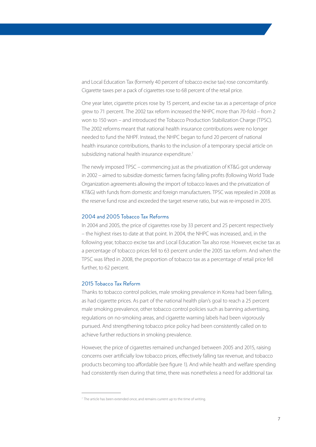and Local Education Tax (formerly 40 percent of tobacco excise tax) rose concomitantly. Cigarette taxes per a pack of cigarettes rose to 68 percent of the retail price.

One year later, cigarette prices rose by 15 percent, and excise tax as a percentage of price grew to 71 percent. The 2002 tax reform increased the NHPC more than 70-fold – from 2 won to 150 won – and introduced the Tobacco Production Stabilization Charge (TPSC). The 2002 reforms meant that national health insurance contributions were no longer needed to fund the NHPF. Instead, the NHPC began to fund 20 percent of national health insurance contributions, thanks to the inclusion of a temporary special article on subsidizing national health insurance expenditure.<sup>7</sup>

The newly imposed TPSC – commencing just as the privatization of KT&G got underway in 2002 – aimed to subsidize domestic farmers facing falling profits (following World Trade Organization agreements allowing the import of tobacco leaves and the privatization of KT&G) with funds from domestic and foreign manufacturers. TPSC was repealed in 2008 as the reserve fund rose and exceeded the target reserve ratio, but was re-imposed in 2015.

## 2004 and 2005 Tobacco Tax Reforms

In 2004 and 2005, the price of cigarettes rose by 33 percent and 25 percent respectively – the highest rises to date at that point. In 2004, the NHPC was increased, and, in the following year, tobacco excise tax and Local Education Tax also rose. However, excise tax as a percentage of tobacco prices fell to 63 percent under the 2005 tax reform. And when the TPSC was lifted in 2008, the proportion of tobacco tax as a percentage of retail price fell further, to 62 percent.

# 2015 Tobacco Tax Reform

Thanks to tobacco control policies, male smoking prevalence in Korea had been falling, as had cigarette prices. As part of the national health plan's goal to reach a 25 percent male smoking prevalence, other tobacco control policies such as banning advertising, regulations on no-smoking areas, and cigarette warning labels had been vigorously pursued. And strengthening tobacco price policy had been consistently called on to achieve further reductions in smoking prevalence.

However, the price of cigarettes remained unchanged between 2005 and 2015, raising concerns over artificially low tobacco prices, effectively falling tax revenue, and tobacco products becoming too affordable (see figure 1). And while health and welfare spending had consistently risen during that time, there was nonetheless a need for additional tax

<sup>7</sup> The article has been extended once, and remains current up to the time of writing.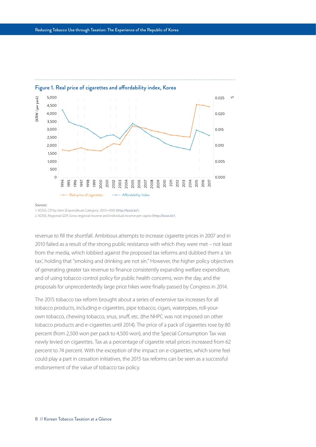

# Figure 1. Real price of cigarettes and affordability index, Korea

#### *Sources:*

1. KOSIS, CPI by item (Expenditure Category: 2015=100) (<http://kosis.kr/>).

2. KOSIS, Regional GDP, Gross regional income and Individual income per capita [\(http://kosis.kr/](http://kosis.kr/)).

revenue to fill the shortfall. Ambitious attempts to increase cigarette prices in 2007 and in 2010 failed as a result of the strong public resistance with which they were met – not least from the media, which lobbied against the proposed tax reforms and dubbed them a 'sin tax', holding that "smoking and drinking are not sin." However, the higher policy objectives of generating greater tax revenue to finance consistently expanding welfare expenditure, and of using tobacco control policy for public health concerns, won the day, and the proposals for unprecedentedly large price hikes were finally passed by Congress in 2014.

The 2015 tobacco tax reform brought about a series of extensive tax increases for all tobacco products, including e-cigarettes, pipe tobacco, cigars, waterpipes, roll-yourown tobacco, chewing tobacco, snus, snuff, etc. (the NHPC was not imposed on other tobacco products and e-cigarettes until 2014). The price of a pack of cigarettes rose by 80 percent (from 2,500 won per pack to 4,500 won), and the Special Consumption Tax was newly levied on cigarettes. Tax as a percentage of cigarette retail prices increased from 62 percent to 74 percent. With the exception of the impact on e-cigarettes, which some feel could play a part in cessation initiatives, the 2015 tax reforms can be seen as a successful endorsement of the value of tobacco tax policy.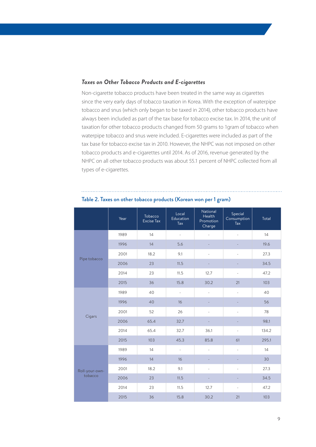# *Taxes on Other Tobacco Products and E-cigarettes*

Non-cigarette tobacco products have been treated in the same way as cigarettes since the very early days of tobacco taxation in Korea. With the exception of waterpipe tobacco and snus (which only began to be taxed in 2014), other tobacco products have always been included as part of the tax base for tobacco excise tax. In 2014, the unit of taxation for other tobacco products changed from 50 grams to 1gram of tobacco when waterpipe tobacco and snus were included. E-cigarettes were included as part of the tax base for tobacco excise tax in 2010. However, the NHPC was not imposed on other tobacco products and e-cigarettes until 2014. As of 2016, revenue generated by the NHPC on all other tobacco products was about 55.1 percent of NHPC collected from all types of e-cigarettes.

|                           | Year | Tobacco<br>Excise Tax | Local<br>Education<br>Tax | National<br>Health<br>Promotion<br>Charge | Special<br>Consumption<br>Tax | Total |
|---------------------------|------|-----------------------|---------------------------|-------------------------------------------|-------------------------------|-------|
|                           | 1989 | 14                    |                           |                                           |                               | 14    |
|                           | 1996 | 14                    | 5.6                       |                                           |                               | 19.6  |
|                           | 2001 | 18.2                  | 9.1                       |                                           |                               | 27.3  |
| Pipe tobacco              | 2006 | 23                    | 11.5                      |                                           |                               | 34.5  |
|                           | 2014 | 23                    | 11.5                      | 12.7                                      |                               | 47.2  |
|                           | 2015 | 36                    | 15.8                      | 30.2                                      | 21                            | 103   |
|                           | 1989 | 40                    | ä,                        |                                           |                               | 40    |
|                           | 1996 | 40                    | 16                        | $\qquad \qquad -$                         |                               | 56    |
|                           | 2001 | 52                    | 26                        |                                           |                               | 78    |
| Cigars                    | 2006 | 65.4                  | 32.7                      |                                           |                               | 98.1  |
|                           | 2014 | 65.4                  | 32.7                      | 36.1                                      |                               | 134.2 |
|                           | 2015 | 103                   | 45.3                      | 85.8                                      | 61                            | 295.1 |
|                           | 1989 | 14                    | ä,                        |                                           |                               | 14    |
|                           | 1996 | 14                    | 16                        |                                           |                               | 30    |
| Roll-your-own-<br>tobacco | 2001 | 18.2                  | 9.1                       | $\bar{ }$                                 | ä,                            | 27.3  |
|                           | 2006 | 23                    | 11.5                      |                                           |                               | 34.5  |
|                           | 2014 | 23                    | 11.5                      | 12.7                                      |                               | 47.2  |
|                           | 2015 | 36                    | 15.8                      | 30.2                                      | 21                            | 103   |

### Table 2. Taxes on other tobacco products (Korean won per 1 gram)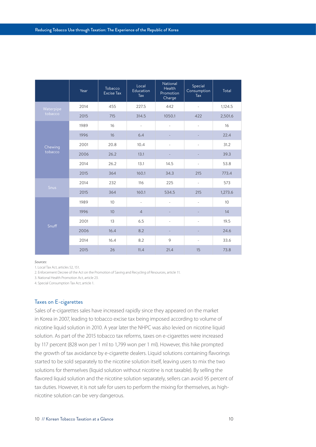|                    | Year | Tobacco<br><b>Excise Tax</b> | Local<br>Education<br>Tax | National<br>Health<br>Promotion<br>Charge | Special<br>Consumption<br>Tax | Total   |
|--------------------|------|------------------------------|---------------------------|-------------------------------------------|-------------------------------|---------|
| Waterpipe          | 2014 | 455                          | 227.5                     | 442                                       |                               | 1,124.5 |
| tobacco            | 2015 | 715                          | 314.5                     | 1050.1                                    | 422                           | 2,501.6 |
|                    | 1989 | 16                           | $\overline{\phantom{a}}$  | ÷,                                        | ÷,                            | 16      |
|                    | 1996 | 16                           | 6.4                       |                                           |                               | 22.4    |
| Chewing<br>tobacco | 2001 | 20.8                         | 10.4                      |                                           |                               | 31.2    |
|                    | 2006 | 26.2                         | 13.1                      |                                           |                               | 39.3    |
|                    | 2014 | 26.2                         | 13.1                      | 14.5                                      |                               | 53.8    |
|                    | 2015 | 364                          | 160.1                     | 34.3                                      | 215                           | 773.4   |
|                    | 2014 | 232                          | 116                       | 225                                       | $\overline{\phantom{a}}$      | 573     |
| <b>Snus</b>        | 2015 | 364                          | 160.1                     | 534.5                                     | 215                           | 1,273.6 |
|                    | 1989 | 10                           | ÷,                        | $\overline{a}$                            | $\overline{a}$                | 10      |
|                    | 1996 | 10                           | $\overline{4}$            |                                           |                               | 14      |
| Snuff              | 2001 | 13                           | 6.5                       |                                           | Ē,                            | 19.5    |
|                    | 2006 | 16.4                         | 8.2                       |                                           |                               | 24.6    |
|                    | 2014 | 16.4                         | 8.2                       | $\circ$                                   | $\overline{\phantom{a}}$      | 33.6    |
|                    | 2015 | 26                           | 11.4                      | 21.4                                      | 15                            | 73.8    |

*Sources:*

1. Local Tax Act, articles 52, 151.

2. Enforcement Decree of the Act on the Promotion of Saving and Recycling of Resources, article 11.

3. National Health Promotion Act, article 23.

4. Special Consumption Tax Act, article 1.

### Taxes on E-cigarettes

Sales of e-cigarettes sales have increased rapidly since they appeared on the market in Korea in 2007, leading to tobacco excise tax being imposed according to volume of nicotine liquid solution in 2010. A year later the NHPC was also levied on nicotine liquid solution. As part of the 2015 tobacco tax reforms, taxes on e-cigarettes were increased by 117 percent (828 won per 1 ml to 1,799 won per 1 ml). However, this hike prompted the growth of tax avoidance by e-cigarette dealers. Liquid solutions containing flavorings started to be sold separately to the nicotine solution itself, leaving users to mix the two solutions for themselves (liquid solution without nicotine is not taxable). By selling the flavored liquid solution and the nicotine solution separately, sellers can avoid 95 percent of tax duties. However, it is not safe for users to perform the mixing for themselves, as highnicotine solution can be very dangerous.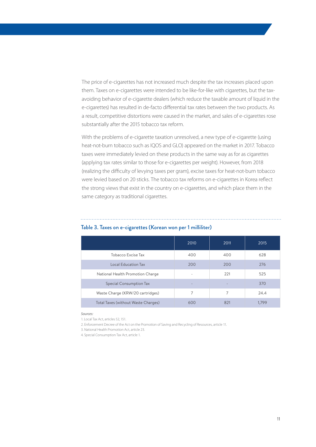The price of e-cigarettes has not increased much despite the tax increases placed upon them. Taxes on e-cigarettes were intended to be like-for-like with cigarettes, but the taxavoiding behavior of e-cigarette dealers (which reduce the taxable amount of liquid in the e-cigarettes) has resulted in de-facto differential tax rates between the two products. As a result, competitive distortions were caused in the market, and sales of e-cigarettes rose substantially after the 2015 tobacco tax reform.

With the problems of e-cigarette taxation unresolved, a new type of e-cigarette (using heat-not-burn tobacco such as IQOS and GLO) appeared on the market in 2017. Tobacco taxes were immediately levied on these products in the same way as for as cigarettes (applying tax rates similar to those for e-cigarettes per weight). However, from 2018 (realizing the difficulty of levying taxes per gram), excise taxes for heat-not-burn tobacco were levied based on 20 sticks. The tobacco tax reforms on e-cigarettes in Korea reflect the strong views that exist in the country on e-cigarettes, and which place them in the same category as traditional cigarettes.

|                                     | 2010                     | 2011 | 2015  |
|-------------------------------------|--------------------------|------|-------|
| Tobacco Excise Tax                  | 400                      | 400  | 628   |
| <b>Local Education Tax</b>          | 200                      | 200  | 276   |
| National Health Promotion Charge    | ۰                        | 221  | 525   |
| <b>Special Consumption Tax</b>      | $\overline{\phantom{a}}$ |      | 370   |
| Waste Charge (KRW/20 cartridges)    |                          | 7    | 24.4  |
| Total Taxes (without Waste Charges) | 600                      | 821  | 1.799 |

# Table 3. Taxes on e-cigarettes (Korean won per 1 milliliter)

*Sources:*

1. Local Tax Act, articles 52, 151.

2. Enforcement Decree of the Act on the Promotion of Saving and Recycling of Resources, article 11.

3. National Health Promotion Act, article 23.

4. Special Consumption Tax Act, article 1.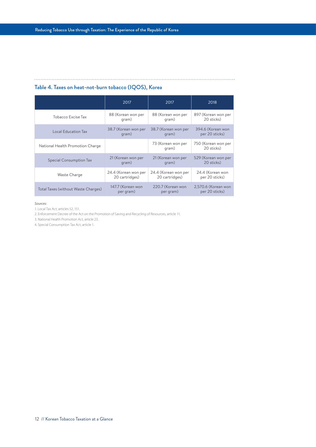# Table 4. Taxes on heat-not-burn tobacco (IQOS), Korea

|                                     | 2017                 | 2017                        | 2018                              |  |
|-------------------------------------|----------------------|-----------------------------|-----------------------------------|--|
| <b>Tobacco Excise Tax</b>           | 88 (Korean won per   | 88 (Korean won per          | 897 (Korean won per               |  |
|                                     | qram)                | qram)                       | 20 sticks)                        |  |
| Local Education Tax                 | 38.7 (Korean won per | 38.7 (Korean won per        | 394.6 (Korean won                 |  |
|                                     | qram)                | qram)                       | per 20 sticks)                    |  |
| National Health Promotion Charge    |                      | 73 (Korean won per<br>qram) | 750 (Korean won per<br>20 sticks) |  |
| <b>Special Consumption Tax</b>      | 21 (Korean won per   | 21 (Korean won per          | 529 (Korean won per               |  |
|                                     | qram)                | qram)                       | 20 sticks)                        |  |
| Waste Charge                        | 24.4 (Korean won per | 24.4 (Korean won per        | 24.4 (Korean won                  |  |
|                                     | 20 cartridges)       | 20 cartridges)              | per 20 sticks)                    |  |
| Total Taxes (without Waste Charges) | 147.7 (Korean won    | 220.7 (Korean won           | 2,570.6 (Korean won               |  |
|                                     | per gram)            | per gram)                   | per 20 sticks)                    |  |

*Sources:*

1. Local Tax Act, articles 52, 151.

2. Enforcement Decree of the Act on the Promotion of Saving and Recycling of Resources, article 11.

3. National Health Promotion Act, article 23.

4. Special Consumption Tax Act, article 1.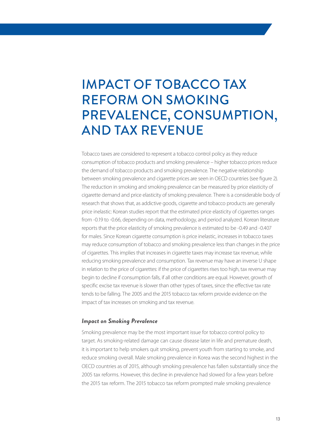# IMPACT OF TOBACCO TAX REFORM ON SMOKING PREVALENCE, CONSUMPTION, AND TAX REVENUE

Tobacco taxes are considered to represent a tobacco control policy as they reduce consumption of tobacco products and smoking prevalence – higher tobacco prices reduce the demand of tobacco products and smoking prevalence. The negative relationship between smoking prevalence and cigarette prices are seen in OECD countries (see figure 2). The reduction in smoking and smoking prevalence can be measured by price elasticity of cigarette demand and price elasticity of smoking prevalence. There is a considerable body of research that shows that, as addictive goods, cigarette and tobacco products are generally price inelastic: Korean studies report that the estimated price elasticity of cigarettes ranges from -0.19 to -0.66, depending on data, methodology, and period analyzed. Korean literature reports that the price elasticity of smoking prevalence is estimated to be -0.49 and -0.407 for males. Since Korean cigarette consumption is price inelastic, increases in tobacco taxes may reduce consumption of tobacco and smoking prevalence less than changes in the price of cigarettes. This implies that increases in cigarette taxes may increase tax revenue, while reducing smoking prevalence and consumption. Tax revenue may have an inverse U shape in relation to the price of cigarettes: if the price of cigarettes rises too high, tax revenue may begin to decline if consumption falls, if all other conditions are equal. However, growth of specific excise tax revenue is slower than other types of taxes, since the effective tax rate tends to be falling. The 2005 and the 2015 tobacco tax reform provide evidence on the impact of tax increases on smoking and tax revenue.

# *Impact on Smoking Prevalence*

Smoking prevalence may be the most important issue for tobacco control policy to target. As smoking-related damage can cause disease later in life and premature death, it is important to help smokers quit smoking, prevent youth from starting to smoke, and reduce smoking overall. Male smoking prevalence in Korea was the second highest in the OECD countries as of 2015, although smoking prevalence has fallen substantially since the 2005 tax reforms. However, this decline in prevalence had slowed for a few years before the 2015 tax reform. The 2015 tobacco tax reform prompted male smoking prevalence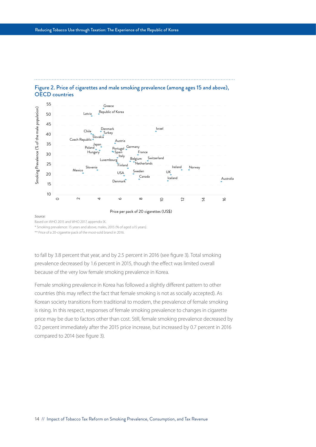



Price per pack of 20 cigarettes (US\$)

#### *Source:*

Based on WHO 2015 and WHO 2017, appendix IX.

\* Smoking prevalence: 15 years and above, males, 2015 (% of aged ≥15 years).

\*\* Price of a 20-cigarette pack of the most-sold brand in 2016.

to fall by 3.8 percent that year, and by 2.5 percent in 2016 (see figure 3). Total smoking prevalence decreased by 1.6 percent in 2015, though the effect was limited overall because of the very low female smoking prevalence in Korea.

Female smoking prevalence in Korea has followed a slightly different pattern to other countries (this may reflect the fact that female smoking is not as socially accepted). As Korean society transitions from traditional to modern, the prevalence of female smoking is rising. In this respect, responses of female smoking prevalence to changes in cigarette price may be due to factors other than cost. Still, female smoking prevalence decreased by 0.2 percent immediately after the 2015 price increase, but increased by 0.7 percent in 2016 compared to 2014 (see figure 3).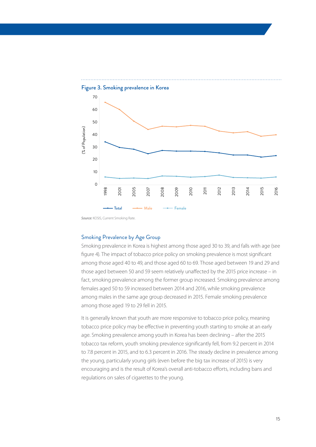

*Source:* KOSIS, Current Smoking Rate.

# Smoking Prevalence by Age Group

Smoking prevalence in Korea is highest among those aged 30 to 39, and falls with age (see figure 4). The impact of tobacco price policy on smoking prevalence is most significant among those aged 40 to 49, and those aged 60 to 69. Those aged between 19 and 29 and those aged between 50 and 59 seem relatively unaffected by the 2015 price increase – in fact, smoking prevalence among the former group increased. Smoking prevalence among females aged 50 to 59 increased between 2014 and 2016, while smoking prevalence among males in the same age group decreased in 2015. Female smoking prevalence among those aged 19 to 29 fell in 2015.

It is generally known that youth are more responsive to tobacco price policy, meaning tobacco price policy may be effective in preventing youth starting to smoke at an early age. Smoking prevalence among youth in Korea has been declining – after the 2015 tobacco tax reform, youth smoking prevalence significantly fell, from 9.2 percent in 2014 to 7.8 percent in 2015, and to 6.3 percent in 2016. The steady decline in prevalence among the young, particularly young girls (even before the big tax increase of 2015) is very encouraging and is the result of Korea's overall anti-tobacco efforts, including bans and regulations on sales of cigarettes to the young.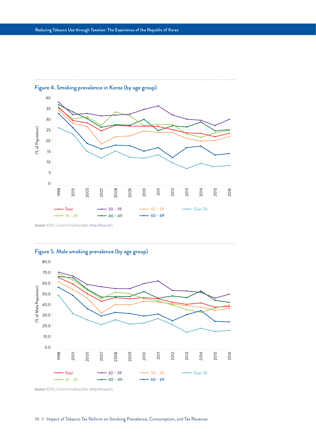



*Source:* KOSIS, Current Smoking Rate, [\(http://kosis.kr/](http://kosis.kr/)).

Figure 5. Male smoking prevalence (by age group)



. . . . . . . . . . . . . . . . . . .

*Source:* KOSIS, Current Smoking Rate, [\(http://kosis.kr/](http://kosis.kr/)).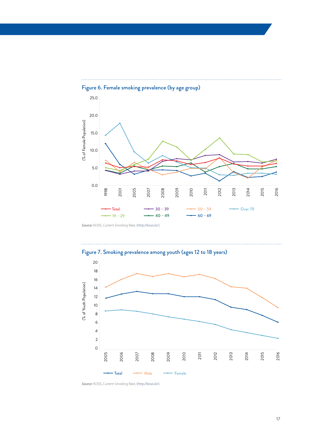

Figure 6. Female smoking prevalence (by age group)

*Source:* KOSIS, Current Smoking Rate, [\(http://kosis.kr/](http://kosis.kr/)).



Figure 7. Smoking prevalence among youth (ages 12 to 18 years)

*Source:* KOSIS, Current Smoking Rate, [\(http://kosis.kr/](http://kosis.kr/)).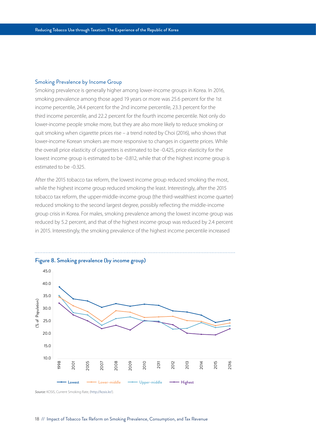### Smoking Prevalence by Income Group

Smoking prevalence is generally higher among lower-income groups in Korea. In 2016, smoking prevalence among those aged 19 years or more was 25.6 percent for the 1st income percentile, 24.4 percent for the 2nd income percentile, 23.3 percent for the third income percentile, and 22.2 percent for the fourth income percentile. Not only do lower-income people smoke more, but they are also more likely to reduce smoking or quit smoking when cigarette prices rise – a trend noted by Choi (2016), who shows that lower-income Korean smokers are more responsive to changes in cigarette prices. While the overall price elasticity of cigarettes is estimated to be -0.425, price elasticity for the lowest income group is estimated to be -0.812, while that of the highest income group is estimated to be -0.325.

After the 2015 tobacco tax reform, the lowest income group reduced smoking the most, while the highest income group reduced smoking the least. Interestingly, after the 2015 tobacco tax reform, the upper-middle-income group (the third-wealthiest income quarter) reduced smoking to the second largest degree, possibly reflecting the middle-income group crisis in Korea. For males, smoking prevalence among the lowest income group was reduced by 5.2 percent, and that of the highest income group was reduced by 2.4 percent in 2015. Interestingly, the smoking prevalence of the highest income percentile increased



*Source:* KOSIS, Current Smoking Rate, [\(http://kosis.kr/](http://kosis.kr/)).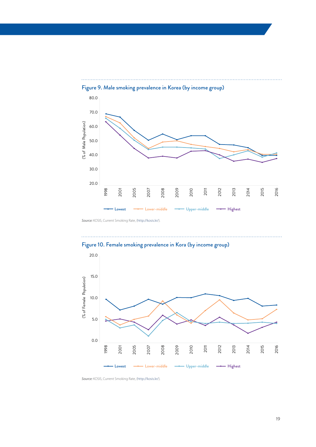

Figure 9. Male smoking prevalence in Korea (by income group)

*Source:* KOSIS, Current Smoking Rate, [\(http://kosis.kr/](http://kosis.kr/)).





*Source:* KOSIS, Current Smoking Rate, [\(http://kosis.kr/](http://kosis.kr/)).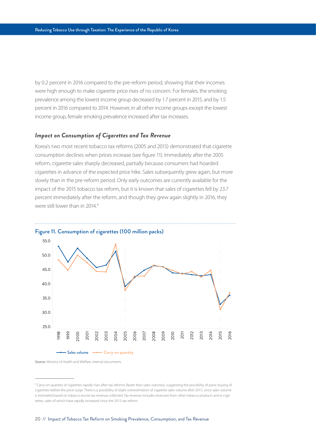by 0.2 percent in 2016 compared to the pre-reform period, showing that their incomes were high enough to make cigarette price rises of no concern. For females, the smoking prevalence among the lowest income group decreased by 1.7 percent in 2015, and by 1.5 percent in 2016 compared to 2014. However, in all other income groups except the lowest income group, female smoking prevalence increased after tax increases.

# *Impact on Consumption of Cigarettes and Tax Revenue*

Korea's two most recent tobacco tax reforms (2005 and 2015) demonstrated that cigarette consumption declines when prices increase (see figure 11). Immediately after the 2005 reform, cigarette sales sharply decreased, partially because consumers had hoarded cigarettes in advance of the expected price hike. Sales subsequently grew again, but more slowly than in the pre-reform period. Only early outcomes are currently available for the impact of the 2015 tobacco tax reform, but it is known that sales of cigarettes fell by 23.7 percent immediately after the reform, and though they grew again slightly in 2016, they were still lower than in 2014.<sup>8</sup>





*Source:* Ministry of Health and Welfare, internal documents.

<sup>&</sup>lt;sup>8</sup> Carry-on quantity of cigarettes rapidly rises after tax reforms (faster than sales volumes), suggesting the possibility of panic buying of cigarettes before the price surge. There is a possibility of slight overestimation of cigarette sales volume after 2015, since sales volume is estimated based on tobacco excise tax revenue collected. Tax revenue includes revenues from other tobacco products and e-cigarettes, sales of which have rapidly increased since the 2015 tax reform.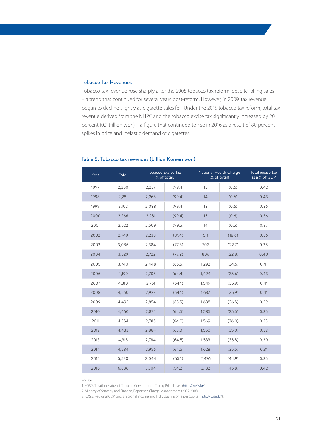# Tobacco Tax Revenues

Tobacco tax revenue rose sharply after the 2005 tobacco tax reform, despite falling sales – a trend that continued for several years post-reform. However, in 2009, tax revenue began to decline slightly as cigarette sales fell. Under the 2015 tobacco tax reform, total tax revenue derived from the NHPC and the tobacco excise tax significantly increased by 20 percent (0.9 trillion won) – a figure that continued to rise in 2016 as a result of 80 percent spikes in price and inelastic demand of cigarettes.

| Year | Total | <b>Tobacco Excise Tax</b> |        |              | National Health Charge | Total excise tax |
|------|-------|---------------------------|--------|--------------|------------------------|------------------|
|      |       | (% of total)              |        | (% of total) |                        | as a % of GDP    |
| 1997 | 2,250 | 2,237                     | (99.4) | 13           | (0.6)                  | 0.42             |
| 1998 | 2,281 | 2,268                     | (99.4) | 14           | (0.6)                  | 0.43             |
| 1999 | 2,102 | 2,088                     | (99.4) | 13           | (0.6)                  | 0.36             |
| 2000 | 2,266 | 2,251                     | (99.4) | 15           | (0.6)                  | 0.36             |
| 2001 | 2,522 | 2,509                     | (99.5) | 14           | (0.5)                  | 0.37             |
| 2002 | 2,749 | 2,238                     | (81.4) | 511          | (18.6)                 | 0.36             |
| 2003 | 3,086 | 2,384                     | (77.3) | 702          | (22.7)                 | 0.38             |
| 2004 | 3,529 | 2,722                     | (77.2) | 806          | (22.8)                 | 0.40             |
| 2005 | 3,740 | 2,448                     | (65.5) | 1,292        | (34.5)                 | 0.41             |
| 2006 | 4,199 | 2,705                     | (64.4) | 1,494        | (35.6)                 | 0.43             |
| 2007 | 4,310 | 2,761                     | (64.1) | 1,549        | (35.9)                 | 0.41             |
| 2008 | 4,560 | 2,923                     | (64.1) | 1,637        | (35.9)                 | 0.41             |
| 2009 | 4,492 | 2,854                     | (63.5) | 1,638        | (36.5)                 | 0.39             |
| 2010 | 4,460 | 2,875                     | (64.5) | 1,585        | (35.5)                 | 0.35             |
| 2011 | 4,354 | 2,785                     | (64.0) | 1,569        | (36.0)                 | 0.33             |
| 2012 | 4,433 | 2,884                     | (65.0) | 1,550        | (35.0)                 | 0.32             |
| 2013 | 4,318 | 2,784                     | (64.5) | 1,533        | (35.5)                 | 0.30             |
| 2014 | 4,584 | 2,956                     | (64.5) | 1,628        | (35.5)                 | 0.31             |
| 2015 | 5,520 | 3,044                     | (55.1) | 2,476        | (44.9)                 | 0.35             |
| 2016 | 6,836 | 3,704                     | (54.2) | 3,132        | (45.8)                 | 0.42             |

# Table 5. Tobacco tax revenues (billion Korean won)

*Source:*

1. KOSIS, Taxation Status of Tobacco Consumption Tax by Price Level, [\(http://kosis.kr/](http://kosis.kr/)).

2. Ministry of Strategy and Finance, Report on Charge Management (2002-2016).

3. KOSIS, Regional GDP, Gross regional income and Individual income per Capita, [\(http://kosis.kr/\)](http://kosis.kr/).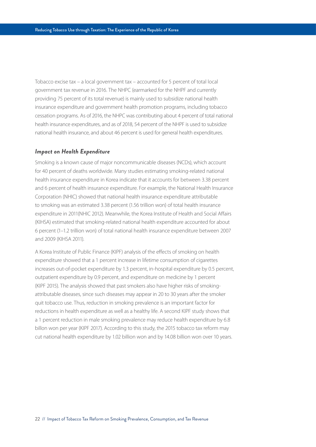Tobacco excise tax – a local government tax – accounted for 5 percent of total local government tax revenue in 2016. The NHPC (earmarked for the NHPF and currently providing 75 percent of its total revenue) is mainly used to subsidize national health insurance expenditure and government health promotion programs, including tobacco cessation programs. As of 2016, the NHPC was contributing about 4 percent of total national health insurance expenditures, and as of 2018, 54 percent of the NHPF is used to subsidize national health insurance, and about 46 percent is used for general health expenditures.

### *Impact on Health Expenditure*

Smoking is a known cause of major noncommunicable diseases (NCDs), which account for 40 percent of deaths worldwide. Many studies estimating smoking-related national health insurance expenditure in Korea indicate that it accounts for between 3.38 percent and 6 percent of health insurance expenditure. For example, the National Health Insurance Corporation (NHIC) showed that national health insurance expenditure attributable to smoking was an estimated 3.38 percent (1.56 trillion won) of total health insurance expenditure in 2011(NHIC 2012). Meanwhile, the Korea Institute of Health and Social Affairs (KIHSA) estimated that smoking-related national health expenditure accounted for about 6 percent (1–1.2 trillion won) of total national health insurance expenditure between 2007 and 2009 (KIHSA 2011).

A Korea Institute of Public Finance (KIPF) analysis of the effects of smoking on health expenditure showed that a 1 percent increase in lifetime consumption of cigarettes increases out-of-pocket expenditure by 1.3 percent, in-hospital expenditure by 0.5 percent, outpatient expenditure by 0.9 percent, and expenditure on medicine by 1 percent (KIPF 2015). The analysis showed that past smokers also have higher risks of smokingattributable diseases, since such diseases may appear in 20 to 30 years after the smoker quit tobacco use. Thus, reduction in smoking prevalence is an important factor for reductions in health expenditure as well as a healthy life. A second KIPF study shows that a 1 percent reduction in male smoking prevalence may reduce health expenditure by 6.8 billon won per year (KIPF 2017). According to this study, the 2015 tobacco tax reform may cut national health expenditure by 1.02 billion won and by 14.08 billion won over 10 years.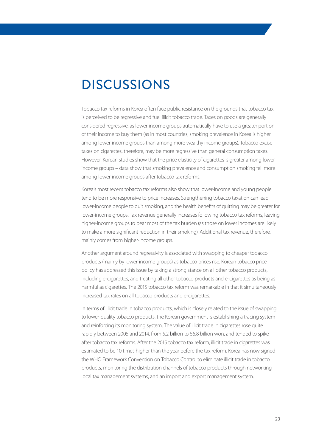# **DISCUSSIONS**

Tobacco tax reforms in Korea often face public resistance on the grounds that tobacco tax is perceived to be regressive and fuel illicit tobacco trade. Taxes on goods are generally considered regressive, as lower-income groups automatically have to use a greater portion of their income to buy them (as in most countries, smoking prevalence in Korea is higher among lower-income groups than among more wealthy income groups). Tobacco excise taxes on cigarettes, therefore, may be more regressive than general consumption taxes. However, Korean studies show that the price elasticity of cigarettes is greater among lowerincome groups – data show that smoking prevalence and consumption smoking fell more among lower-income groups after tobacco tax reforms.

Korea's most recent tobacco tax reforms also show that lower-income and young people tend to be more responsive to price increases. Strengthening tobacco taxation can lead lower-income people to quit smoking, and the health benefits of quitting may be greater for lower-income groups. Tax revenue generally increases following tobacco tax reforms, leaving higher-income groups to bear most of the tax burden (as those on lower incomes are likely to make a more significant reduction in their smoking). Additional tax revenue, therefore, mainly comes from higher-income groups.

Another argument around regressivity is associated with swapping to cheaper tobacco products (mainly by lower-income groups) as tobacco prices rise. Korean tobacco price policy has addressed this issue by taking a strong stance on all other tobacco products, including e-cigarettes, and treating all other tobacco products and e-cigarettes as being as harmful as cigarettes. The 2015 tobacco tax reform was remarkable in that it simultaneously increased tax rates on all tobacco products and e-cigarettes.

In terms of illicit trade in tobacco products, which is closely related to the issue of swapping to lower-quality tobacco products, the Korean government is establishing a tracing system and reinforcing its monitoring system. The value of illicit trade in cigarettes rose quite rapidly between 2005 and 2014, from 5.2 billion to 66.8 billion won, and tended to spike after tobacco tax reforms. After the 2015 tobacco tax reform, illicit trade in cigarettes was estimated to be 10 times higher than the year before the tax reform. Korea has now signed the WHO Framework Convention on Tobacco Control to eliminate illicit trade in tobacco products, monitoring the distribution channels of tobacco products through networking local tax management systems, and an import and export management system.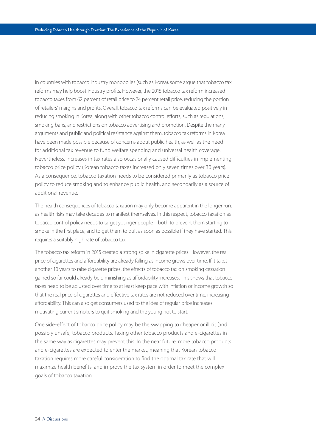In countries with tobacco industry monopolies (such as Korea), some argue that tobacco tax reforms may help boost industry profits. However, the 2015 tobacco tax reform increased tobacco taxes from 62 percent of retail price to 74 percent retail price, reducing the portion of retailers' margins and profits. Overall, tobacco tax reforms can be evaluated positively in reducing smoking in Korea, along with other tobacco control efforts, such as regulations, smoking bans, and restrictions on tobacco advertising and promotion. Despite the many arguments and public and political resistance against them, tobacco tax reforms in Korea have been made possible because of concerns about public health, as well as the need for additional tax revenue to fund welfare spending and universal health coverage. Nevertheless, increases in tax rates also occasionally caused difficulties in implementing tobacco price policy (Korean tobacco taxes increased only seven times over 30 years). As a consequence, tobacco taxation needs to be considered primarily as tobacco price policy to reduce smoking and to enhance public health, and secondarily as a source of additional revenue.

The health consequences of tobacco taxation may only become apparent in the longer run, as health risks may take decades to manifest themselves. In this respect, tobacco taxation as tobacco control policy needs to target younger people – both to prevent them starting to smoke in the first place, and to get them to quit as soon as possible if they have started. This requires a suitably high rate of tobacco tax.

The tobacco tax reform in 2015 created a strong spike in cigarette prices. However, the real price of cigarettes and affordability are already falling as income grows over time. If it takes another 10 years to raise cigarette prices, the effects of tobacco tax on smoking cessation gained so far could already be diminishing as affordability increases. This shows that tobacco taxes need to be adjusted over time to at least keep pace with inflation or income growth so that the real price of cigarettes and effective tax rates are not reduced over time, increasing affordability. This can also get consumers used to the idea of regular price increases, motivating current smokers to quit smoking and the young not to start.

One side-effect of tobacco price policy may be the swapping to cheaper or illicit (and possibly unsafe) tobacco products. Taxing other tobacco products and e-cigarettes in the same way as cigarettes may prevent this. In the near future, more tobacco products and e-cigarettes are expected to enter the market, meaning that Korean tobacco taxation requires more careful consideration to find the optimal tax rate that will maximize health benefits, and improve the tax system in order to meet the complex goals of tobacco taxation.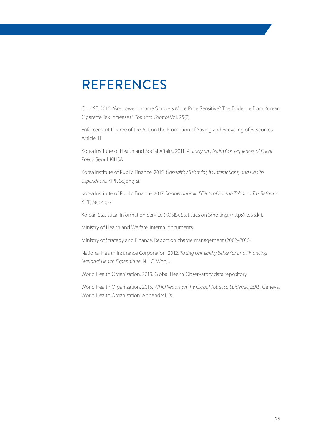# REFERENCES

Choi SE. 2016. "Are Lower Income Smokers More Price Sensitive? The Evidence from Korean Cigarette Tax Increases." *Tobacco Control* Vol. 25(2).

Enforcement Decree of the Act on the Promotion of Saving and Recycling of Resources, Article 11.

Korea Institute of Health and Social Affairs. 2011. *A Study on Health Consequences of Fiscal Policy*. Seoul, KIHSA.

Korea Institute of Public Finance. 2015. *Unhealthy Behavior, Its Interactions, and Health Expenditure*. KIPF, Sejong-si.

Korea Institute of Public Finance. 2017. S*ocioeconomic Effects of Korean Tobacco Tax Reforms.* KIPF, Sejong-si.

Korean Statistical Information Service (KOSIS). Statistics on Smoking. (http://kosis.kr).

Ministry of Health and Welfare, internal documents.

Ministry of Strategy and Finance, Report on charge management (2002–2016).

National Health Insurance Corporation. 2012. *Taxing Unhealthy Behavior and Financing National Health Expenditure*. NHIC. Wonju.

World Health Organization. 2015. Global Health Observatory data repository.

World Health Organization. 2015. *WHO Report on the Global Tobacco Epidemic, 2015.* Geneva, World Health Organization. Appendix I, IX.